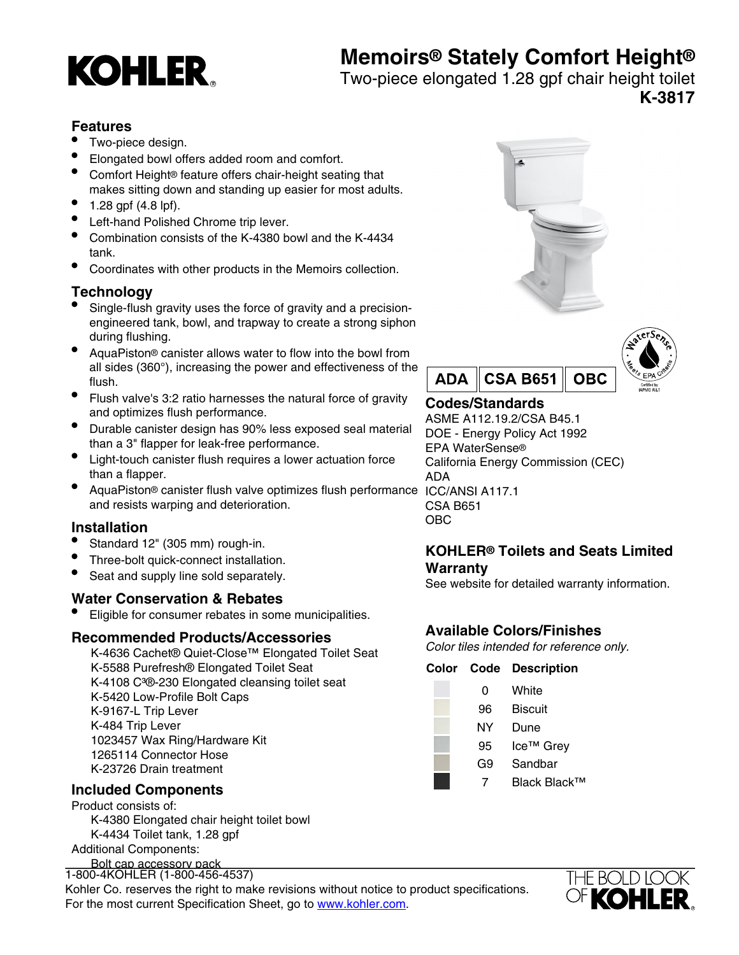# **Memoirs® Stately Comfort Height®**



Two-piece elongated 1.28 gpf chair height toilet **K-3817**

### **Features**

- Two-piece design.
- Elongated bowl offers added room and comfort.
- Comfort Height® feature offers chair-height seating that makes sitting down and standing up easier for most adults.
- $1.28$  gpf (4.8 lpf).
- Left-hand Polished Chrome trip lever.
- Combination consists of the K-4380 bowl and the K-4434 tank.
- Coordinates with other products in the Memoirs collection.

# **Technology**

- Single-flush gravity uses the force of gravity and a precisionengineered tank, bowl, and trapway to create a strong siphon during flushing.
- AquaPiston® canister allows water to flow into the bowl from all sides (360°), increasing the power and effectiveness of the flush.
- Flush valve's 3:2 ratio harnesses the natural force of gravity and optimizes flush performance.
- Durable canister design has 90% less exposed seal material than a 3" flapper for leak-free performance.
- Light-touch canister flush requires a lower actuation force than a flapper.
- AquaPiston® canister flush valve optimizes flush performance ICC/ANSI A117.1 and resists warping and deterioration.

### **Installation**

- Standard 12" (305 mm) rough-in.
- Three-bolt quick-connect installation.
- Seat and supply line sold separately.

### **Water Conservation & Rebates**

• Eligible for consumer rebates in some municipalities.

#### **Recommended Products/Accessories**

K-4636 Cachet® Quiet-Close™ Elongated Toilet Seat K-5588 Purefresh® Elongated Toilet Seat K-4108 C<sup>3</sup>®-230 Elongated cleansing toilet seat K-5420 Low-Profile Bolt Caps K-9167-L Trip Lever K-484 Trip Lever 1023457 Wax Ring/Hardware Kit 1265114 Connector Hose K-23726 Drain treatment

## **Included Components**

Product consists of: K-4380 Elongated chair height toilet bowl K-4434 Toilet tank, 1.28 gpf Additional Components:

Bolt cap accessory pack Tank accessory pack 1-800-4KOHLER (1-800-456-4537)

Kohler Co. reserves the right to make revisions without notice to product specifications. For the most current Specification Sheet, go to [www.kohler.com](http://www.kohler.com).





# **Codes/Standards**

ASME A112.19.2/CSA B45.1 DOE - Energy Policy Act 1992 EPA WaterSense® California Energy Commission (CEC) ADA CSA B651 OBC

### **KOHLER® Toilets and Seats Limited Warranty**

See website for detailed warranty information.

# **Available Colors/Finishes**

Color tiles intended for reference only.

#### **Color Code Description**

- 0 White 96 Biscuit NY Dune 95 Ice™ Grev G9 Sandbar
	- 7 Black Black™